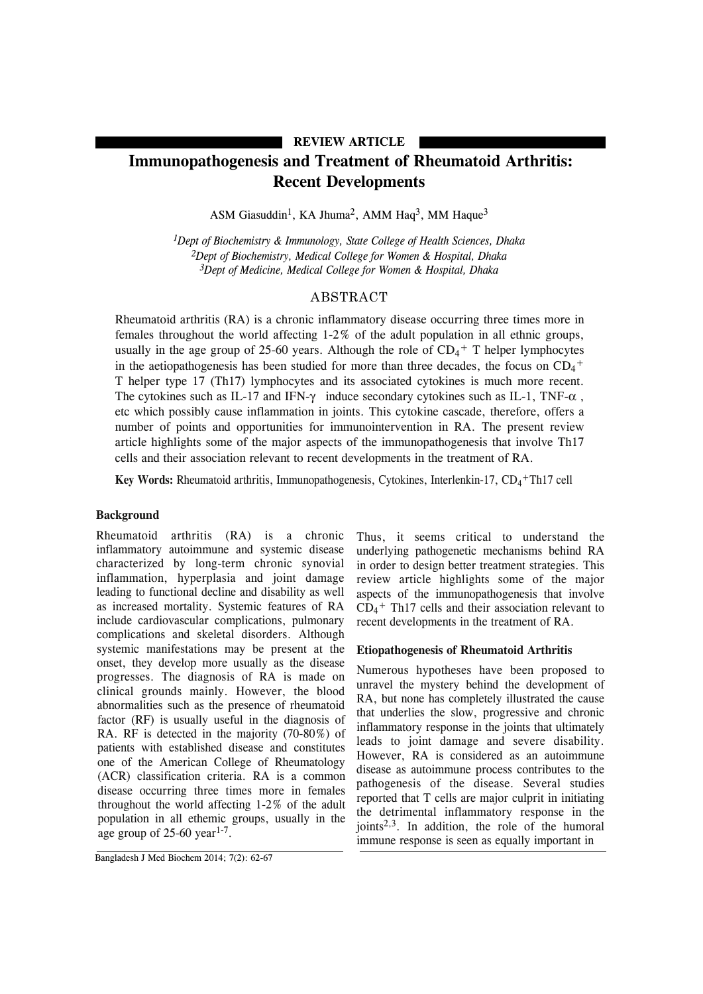## **REVIEW ARTICLE**

# **Immunopathogenesis and Treatment of Rheumatoid Arthritis: Recent Developments**

ASM Giasuddin<sup>1</sup>, KA Jhuma<sup>2</sup>, AMM Haq<sup>3</sup>, MM Haque<sup>3</sup>

*1Dept of Biochemistry & Immunology, State College of Health Sciences, Dhaka 2Dept of Biochemistry, Medical College for Women & Hospital, Dhaka 3Dept of Medicine, Medical College for Women & Hospital, Dhaka*

## ABSTRACT

Rheumatoid arthritis (RA) is a chronic inflammatory disease occurring three times more in females throughout the world affecting 1-2% of the adult population in all ethnic groups, usually in the age group of 25-60 years. Although the role of  $CD_4$ <sup>+</sup> T helper lymphocytes in the aetiopathogenesis has been studied for more than three decades, the focus on  $CD_4$ <sup>+</sup> T helper type 17 (Th17) lymphocytes and its associated cytokines is much more recent. The cytokines such as IL-17 and IFN- $\gamma$  induce secondary cytokines such as IL-1, TNF- $\alpha$ , etc which possibly cause inflammation in joints. This cytokine cascade, therefore, offers a number of points and opportunities for immunointervention in RA. The present review article highlights some of the major aspects of the immunopathogenesis that involve Th17 cells and their association relevant to recent developments in the treatment of RA.

Key Words: Rheumatoid arthritis, Immunopathogenesis, Cytokines, Interlenkin-17, CD<sub>4</sub>+Th17 cell

## **Background**

Rheumatoid arthritis (RA) is a chronic inflammatory autoimmune and systemic disease characterized by long-term chronic synovial inflammation, hyperplasia and joint damage leading to functional decline and disability as well as increased mortality. Systemic features of RA include cardiovascular complications, pulmonary complications and skeletal disorders. Although systemic manifestations may be present at the onset, they develop more usually as the disease progresses. The diagnosis of RA is made on clinical grounds mainly. However, the blood abnormalities such as the presence of rheumatoid factor (RF) is usually useful in the diagnosis of RA. RF is detected in the majority (70-80%) of patients with established disease and constitutes one of the American College of Rheumatology (ACR) classification criteria. RA is a common disease occurring three times more in females throughout the world affecting 1-2% of the adult population in all ethemic groups, usually in the age group of  $25-60$  year<sup>1-7</sup>.

## **Etiopathogenesis of Rheumatoid Arthritis**

Numerous hypotheses have been proposed to unravel the mystery behind the development of RA, but none has completely illustrated the cause that underlies the slow, progressive and chronic inflammatory response in the joints that ultimately leads to joint damage and severe disability. However, RA is considered as an autoimmune disease as autoimmune process contributes to the pathogenesis of the disease. Several studies reported that T cells are major culprit in initiating the detrimental inflammatory response in the joints2,3. In addition, the role of the humoral immune response is seen as equally important in

Thus, it seems critical to understand the underlying pathogenetic mechanisms behind RA in order to design better treatment strategies. This review article highlights some of the major aspects of the immunopathogenesis that involve CD4 <sup>+</sup> Th17 cells and their association relevant to recent developments in the treatment of RA.

Bangladesh J Med Biochem 2014; 7(2): 62-67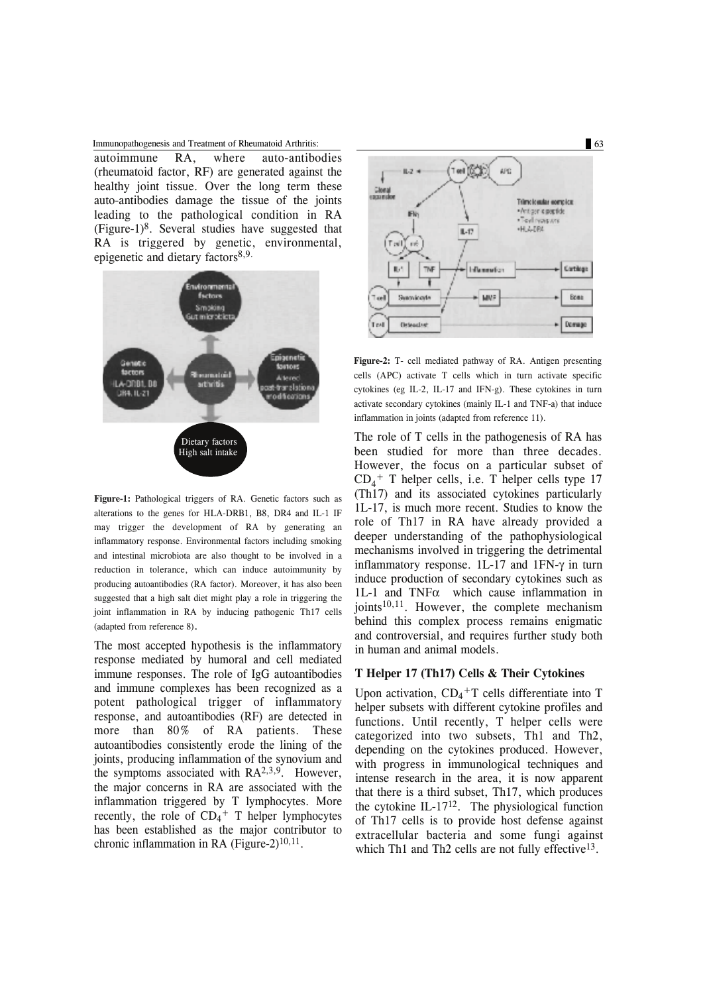#### Immunopathogenesis and Treatment of Rheumatoid Arthritis: 63

autoimmune RA, where auto-antibodies (rheumatoid factor, RF) are generated against the healthy joint tissue. Over the long term these auto-antibodies damage the tissue of the joints leading to the pathological condition in RA  $(Figure-1)^8$ . Several studies have suggested that RA is triggered by genetic, environmental, epigenetic and dietary factors<sup>8,9.</sup>



**Figure-1:** Pathological triggers of RA. Genetic factors such as alterations to the genes for HLA-DRB1, B8, DR4 and IL-1 IF may trigger the development of RA by generating an inflammatory response. Environmental factors including smoking and intestinal microbiota are also thought to be involved in a reduction in tolerance, which can induce autoimmunity by producing autoantibodies (RA factor). Moreover, it has also been suggested that a high salt diet might play a role in triggering the joint inflammation in RA by inducing pathogenic Th17 cells (adapted from reference 8).

The most accepted hypothesis is the inflammatory response mediated by humoral and cell mediated immune responses. The role of IgG autoantibodies and immune complexes has been recognized as a potent pathological trigger of inflammatory response, and autoantibodies (RF) are detected in more than 80% of RA patients. These autoantibodies consistently erode the lining of the joints, producing inflammation of the synovium and the symptoms associated with  $RA^{2,3,9}$ . However, the major concerns in RA are associated with the inflammation triggered by T lymphocytes. More recently, the role of  $CD_4$ <sup>+</sup> T helper lymphocytes has been established as the major contributor to chronic inflammation in RA (Figure-2) $^{10,11}$ .



**Figure-2:** T- cell mediated pathway of RA. Antigen presenting cells (APC) activate T cells which in turn activate specific cytokines (eg IL-2, IL-17 and IFN-g). These cytokines in turn activate secondary cytokines (mainly IL-1 and TNF-a) that induce inflammation in joints (adapted from reference 11).

The role of T cells in the pathogenesis of RA has been studied for more than three decades. However, the focus on a particular subset of CD4 <sup>+</sup> T helper cells, i.e. T helper cells type 17 (Th17) and its associated cytokines particularly 1L-17, is much more recent. Studies to know the role of Th17 in RA have already provided a deeper understanding of the pathophysiological mechanisms involved in triggering the detrimental inflammatory response. 1L-17 and 1FN-γ in turn induce production of secondary cytokines such as 1L-1 and  $TNF\alpha$  which cause inflammation in joints $10,11$ . However, the complete mechanism behind this complex process remains enigmatic and controversial, and requires further study both in human and animal models.

## **T Helper 17 (Th17) Cells & Their Cytokines**

Upon activation,  $CD_4$ <sup>+</sup>T cells differentiate into T helper subsets with different cytokine profiles and functions. Until recently, T helper cells were categorized into two subsets, Th1 and Th2, depending on the cytokines produced. However, with progress in immunological techniques and intense research in the area, it is now apparent that there is a third subset, Th17, which produces the cytokine IL-1712. The physiological function of Th17 cells is to provide host defense against extracellular bacteria and some fungi against which Th1 and Th2 cells are not fully effective<sup>13</sup>.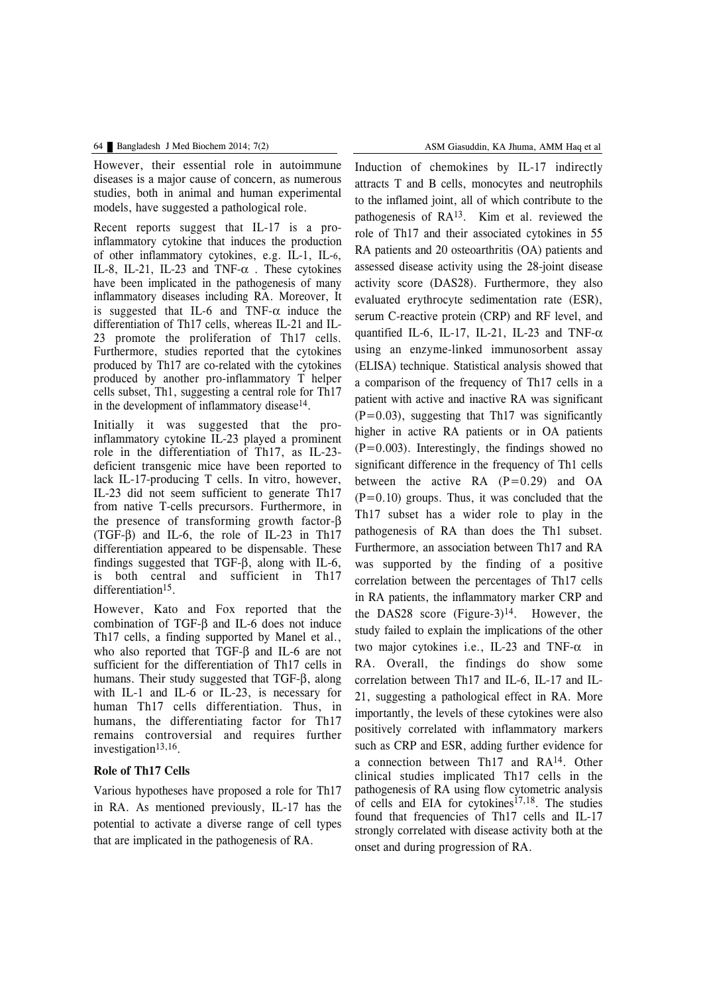However, their essential role in autoimmune diseases is a major cause of concern, as numerous studies, both in animal and human experimental models, have suggested a pathological role.

Recent reports suggest that IL-17 is a proinflammatory cytokine that induces the production of other inflammatory cytokines, e.g. IL-1, IL-6, IL-8, IL-21, IL-23 and TNF- $\alpha$ . These cytokines have been implicated in the pathogenesis of many inflammatory diseases including RA. Moreover, It is suggested that IL-6 and TNF- $\alpha$  induce the differentiation of Th17 cells, whereas IL-21 and IL-23 promote the proliferation of Th17 cells. Furthermore, studies reported that the cytokines produced by Th17 are co-related with the cytokines produced by another pro-inflammatory T helper cells subset, Th1, suggesting a central role for Th17 in the development of inflammatory disease<sup>14</sup>.

Initially it was suggested that the proinflammatory cytokine IL-23 played a prominent role in the differentiation of Th17, as IL-23 deficient transgenic mice have been reported to lack IL-17-producing T cells. In vitro, however, IL-23 did not seem sufficient to generate Th17 from native T-cells precursors. Furthermore, in the presence of transforming growth factor-β (TGF-β) and IL-6, the role of IL-23 in Th17 differentiation appeared to be dispensable. These findings suggested that TGF-β, along with IL-6, is both central and sufficient in Th17 differentiation<sup>15</sup>.

However, Kato and Fox reported that the combination of TGF-β and IL-6 does not induce Th17 cells, a finding supported by Manel et al., who also reported that TGF-β and IL-6 are not sufficient for the differentiation of Th17 cells in humans. Their study suggested that TGF-β, along with IL-1 and IL-6 or IL-23, is necessary for human Th17 cells differentiation. Thus, in humans, the differentiating factor for Th17 remains controversial and requires further investigation<sup>13,16</sup>.

## **Role of Th17 Cells**

Various hypotheses have proposed a role for Th17 in RA. As mentioned previously, IL-17 has the potential to activate a diverse range of cell types that are implicated in the pathogenesis of RA.

Induction of chemokines by IL-17 indirectly attracts T and B cells, monocytes and neutrophils to the inflamed joint, all of which contribute to the pathogenesis of RA13. Kim et al. reviewed the role of Th17 and their associated cytokines in 55 RA patients and 20 osteoarthritis (OA) patients and assessed disease activity using the 28-joint disease activity score (DAS28). Furthermore, they also evaluated erythrocyte sedimentation rate (ESR), serum C-reactive protein (CRP) and RF level, and quantified IL-6, IL-17, IL-21, IL-23 and TNF- $\alpha$ using an enzyme-linked immunosorbent assay (ELISA) technique. Statistical analysis showed that a comparison of the frequency of Th17 cells in a patient with active and inactive RA was significant  $(P=0.03)$ , suggesting that Th17 was significantly higher in active RA patients or in OA patients  $(P=0.003)$ . Interestingly, the findings showed no significant difference in the frequency of Th1 cells between the active RA  $(P=0.29)$  and OA  $(P=0.10)$  groups. Thus, it was concluded that the Th17 subset has a wider role to play in the pathogenesis of RA than does the Th1 subset. Furthermore, an association between Th17 and RA was supported by the finding of a positive correlation between the percentages of Th17 cells in RA patients, the inflammatory marker CRP and the DAS28 score (Figure-3)<sup>14</sup>. However, the study failed to explain the implications of the other two major cytokines i.e., IL-23 and TNF-α in RA. Overall, the findings do show some correlation between Th17 and IL-6, IL-17 and IL-21, suggesting a pathological effect in RA. More importantly, the levels of these cytokines were also positively correlated with inflammatory markers such as CRP and ESR, adding further evidence for a connection between Th17 and RA14. Other clinical studies implicated Th17 cells in the pathogenesis of RA using flow cytometric analysis of cells and EIA for cytokines<sup> $17,18$ </sup>. The studies found that frequencies of Th17 cells and IL-17 strongly correlated with disease activity both at the onset and during progression of RA.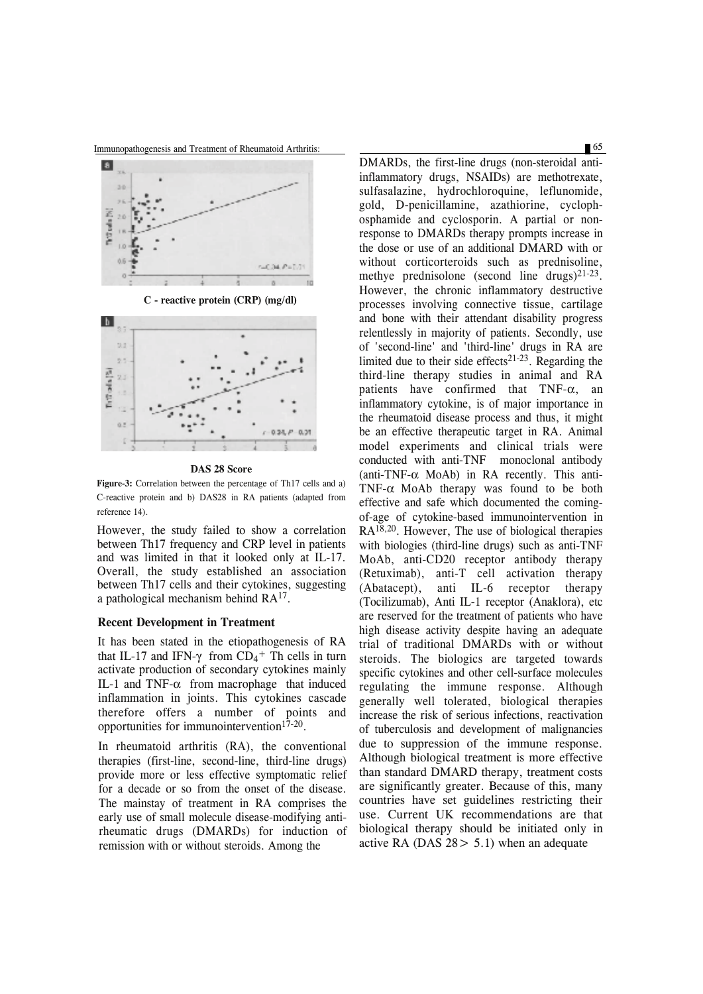



**C - reactive protein (CRP) (mg/dl)**



**DAS 28 Score**

**Figure-3:** Correlation between the percentage of Th17 cells and a) C-reactive protein and b) DAS28 in RA patients (adapted from reference 14).

However, the study failed to show a correlation between Th17 frequency and CRP level in patients and was limited in that it looked only at IL-17. Overall, the study established an association between Th17 cells and their cytokines, suggesting a pathological mechanism behind RA17.

#### **Recent Development in Treatment**

It has been stated in the etiopathogenesis of RA that IL-17 and IFN- $\gamma$  from CD<sub>4</sub><sup>+</sup> Th cells in turn activate production of secondary cytokines mainly IL-1 and TNF-α from macrophage that induced inflammation in joints. This cytokines cascade therefore offers a number of points and opportunities for immunointervention $17-20$ .

In rheumatoid arthritis (RA), the conventional therapies (first-line, second-line, third-line drugs) provide more or less effective symptomatic relief for a decade or so from the onset of the disease. The mainstay of treatment in RA comprises the early use of small molecule disease-modifying antirheumatic drugs (DMARDs) for induction of remission with or without steroids. Among the

DMARDs, the first-line drugs (non-steroidal antiinflammatory drugs, NSAIDs) are methotrexate, sulfasalazine, hydrochloroquine, leflunomide, gold, D-penicillamine, azathiorine, cyclophosphamide and cyclosporin. A partial or nonresponse to DMARDs therapy prompts increase in the dose or use of an additional DMARD with or without corticorteroids such as prednisoline, methye prednisolone (second line drugs) $2^{1-23}$ . However, the chronic inflammatory destructive processes involving connective tissue, cartilage and bone with their attendant disability progress relentlessly in majority of patients. Secondly, use of 'second-line' and 'third-line' drugs in RA are limited due to their side effects<sup>21-23</sup>. Regarding the third-line therapy studies in animal and RA patients have confirmed that  $TNF-\alpha$ , an inflammatory cytokine, is of major importance in the rheumatoid disease process and thus, it might be an effective therapeutic target in RA. Animal model experiments and clinical trials were conducted with anti-TNF monoclonal antibody (anti-TNF-α MoAb) in RA recently. This anti-TNF-α MoAb therapy was found to be both effective and safe which documented the comingof-age of cytokine-based immunointervention in RA18,20. However, The use of biological therapies with biologies (third-line drugs) such as anti-TNF MoAb, anti-CD20 receptor antibody therapy (Retuximab), anti-T cell activation therapy (Abatacept), anti IL-6 receptor therapy (Tocilizumab), Anti IL-1 receptor (Anaklora), etc are reserved for the treatment of patients who have high disease activity despite having an adequate trial of traditional DMARDs with or without steroids. The biologics are targeted towards specific cytokines and other cell-surface molecules regulating the immune response. Although generally well tolerated, biological therapies increase the risk of serious infections, reactivation of tuberculosis and development of malignancies due to suppression of the immune response. Although biological treatment is more effective than standard DMARD therapy, treatment costs are significantly greater. Because of this, many countries have set guidelines restricting their use. Current UK recommendations are that biological therapy should be initiated only in active RA (DAS  $28 > 5.1$ ) when an adequate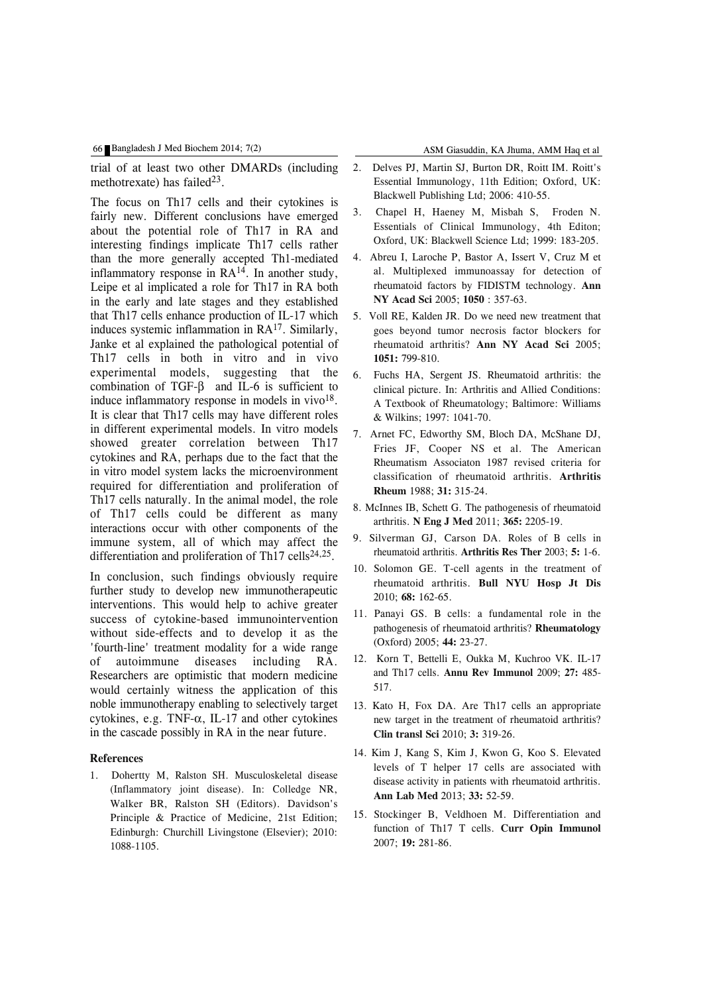trial of at least two other DMARDs (including methotrexate) has failed $^{23}$ .

The focus on Th17 cells and their cytokines is fairly new. Different conclusions have emerged about the potential role of Th17 in RA and interesting findings implicate Th17 cells rather than the more generally accepted Th1-mediated inflammatory response in  $RA^{14}$ . In another study, Leipe et al implicated a role for Th17 in RA both in the early and late stages and they established that Th17 cells enhance production of IL-17 which induces systemic inflammation in RA17. Similarly, Janke et al explained the pathological potential of Th17 cells in both in vitro and in vivo experimental models, suggesting that the combination of TGF-β and IL-6 is sufficient to induce inflammatory response in models in vivo $18$ . It is clear that Th17 cells may have different roles in different experimental models. In vitro models showed greater correlation between Th17 cytokines and RA, perhaps due to the fact that the in vitro model system lacks the microenvironment required for differentiation and proliferation of Th17 cells naturally. In the animal model, the role of Th17 cells could be different as many interactions occur with other components of the immune system, all of which may affect the differentiation and proliferation of Th17 cells<sup>24,25</sup>.

In conclusion, such findings obviously require further study to develop new immunotherapeutic interventions. This would help to achive greater success of cytokine-based immunointervention without side-effects and to develop it as the 'fourth-line' treatment modality for a wide range of autoimmune diseases including RA. Researchers are optimistic that modern medicine would certainly witness the application of this noble immunotherapy enabling to selectively target cytokines, e.g. TNF-α, IL-17 and other cytokines in the cascade possibly in RA in the near future.

## **References**

1. Dohertty M, Ralston SH. Musculoskeletal disease (Inflammatory joint disease). In: Colledge NR, Walker BR, Ralston SH (Editors). Davidson's Principle & Practice of Medicine, 21st Edition; Edinburgh: Churchill Livingstone (Elsevier); 2010: 1088-1105.

- 2. Delves PJ, Martin SJ, Burton DR, Roitt IM. Roitt's Essential Immunology, 11th Edition; Oxford, UK: Blackwell Publishing Ltd; 2006: 410-55.
- 3. Chapel H, Haeney M, Misbah S, Froden N. Essentials of Clinical Immunology, 4th Editon; Oxford, UK: Blackwell Science Ltd; 1999: 183-205.
- 4. Abreu I, Laroche P, Bastor A, Issert V, Cruz M et al. Multiplexed immunoassay for detection of rheumatoid factors by FIDISTM technology. **Ann NY Acad Sci** 2005; **1050** : 357-63.
- 5. Voll RE, Kalden JR. Do we need new treatment that goes beyond tumor necrosis factor blockers for rheumatoid arthritis? **Ann NY Acad Sci** 2005; **1051:** 799-810.
- 6. Fuchs HA, Sergent JS. Rheumatoid arthritis: the clinical picture. In: Arthritis and Allied Conditions: A Textbook of Rheumatology; Baltimore: Williams & Wilkins; 1997: 1041-70.
- 7. Arnet FC, Edworthy SM, Bloch DA, McShane DJ, Fries JF, Cooper NS et al. The American Rheumatism Associaton 1987 revised criteria for classification of rheumatoid arthritis. **Arthritis Rheum** 1988; **31:** 315-24.
- 8. McInnes IB, Schett G. The pathogenesis of rheumatoid arthritis. **N Eng J Med** 2011; **365:** 2205-19.
- 9. Silverman GJ, Carson DA. Roles of B cells in rheumatoid arthritis. **Arthritis Res Ther** 2003; **5:** 1-6.
- 10. Solomon GE. T-cell agents in the treatment of rheumatoid arthritis. **Bull NYU Hosp Jt Dis** 2010; **68:** 162-65.
- 11. Panayi GS. B cells: a fundamental role in the pathogenesis of rheumatoid arthritis? **Rheumatology** (Oxford) 2005; **44:** 23-27.
- 12. Korn T, Bettelli E, Oukka M, Kuchroo VK. IL-17 and Th17 cells. **Annu Rev Immunol** 2009; **27:** 485- 517.
- 13. Kato H, Fox DA. Are Th17 cells an appropriate new target in the treatment of rheumatoid arthritis? **Clin transl Sci** 2010; **3:** 319-26.
- 14. Kim J, Kang S, Kim J, Kwon G, Koo S. Elevated levels of T helper 17 cells are associated with disease activity in patients with rheumatoid arthritis. **Ann Lab Med** 2013; **33:** 52-59.
- 15. Stockinger B, Veldhoen M. Differentiation and function of Th17 T cells. **Curr Opin Immunol** 2007; **19:** 281-86.